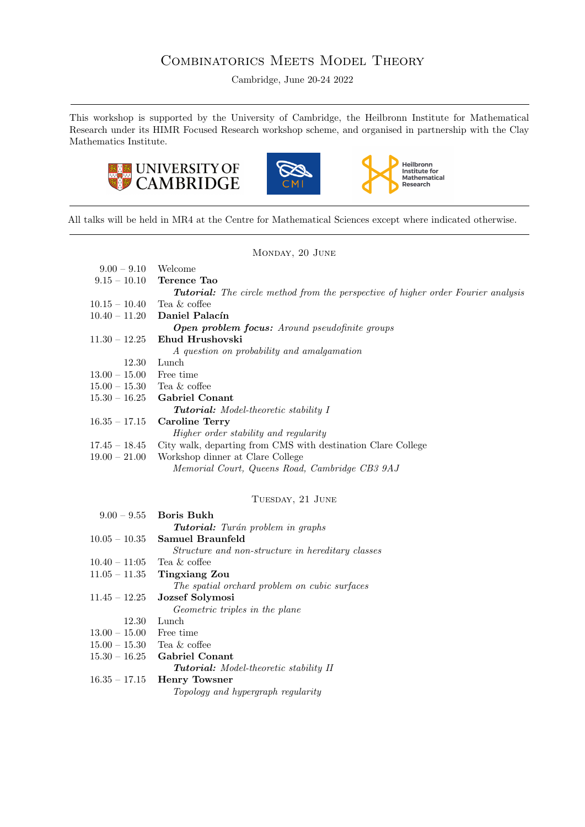# COMBINATORICS MEETS MODEL THEORY

Cambridge, June 20-24 2022

This workshop is supported by the University of Cambridge, the Heilbronn Institute for Mathematical Research under its HIMR Focused Research workshop scheme, and organised in partnership with the Clay Mathematics Institute.





Heilbronn<br>Institute for<br>Mathematical<br>Research

All talks will be held in MR4 at the Centre for Mathematical Sciences except where indicated otherwise.

# Monday, 20 June

| $9.00 - 9.10$                | Welcome                                                                                  |
|------------------------------|------------------------------------------------------------------------------------------|
| $9.15 - 10.10$               | Terence Tao                                                                              |
|                              | <b>Tutorial:</b> The circle method from the perspective of higher order Fourier analysis |
| $10.15 - 10.40$              | Tea & coffee                                                                             |
|                              | $10.40 - 11.20$ Daniel Palacín                                                           |
|                              | <b>Open problem focus:</b> Around pseudofinite groups                                    |
| $11.30 - 12.25$              | Ehud Hrushovski                                                                          |
|                              | A question on probability and amalgamation                                               |
| 12.30                        | Lunch                                                                                    |
| $13.00 - 15.00$ Free time    |                                                                                          |
| $15.00 - 15.30$ Tea & coffee |                                                                                          |
|                              | $15.30 - 16.25$ Gabriel Conant                                                           |
|                              | <b>Tutorial:</b> Model-theoretic stability I                                             |
| $16.35 - 17.15$              | <b>Caroline Terry</b>                                                                    |
|                              | <i>Higher order stability and regularity</i>                                             |
| $17.45 - 18.45$              | City walk, departing from CMS with destination Clare College                             |
| $19.00-21.00$                | Workshop dinner at Clare College                                                         |
|                              | Memorial Court, Queens Road, Cambridge CB3 9AJ                                           |

# TUESDAY, 21 JUNE

|                              | $9.00 - 9.55$ Boris Bukh                          |
|------------------------------|---------------------------------------------------|
|                              | <b>Tutorial:</b> Turán problem in graphs          |
| $10.05 - 10.35$              | Samuel Braunfeld                                  |
|                              | Structure and non-structure in hereditary classes |
| $10.40 - 11.05$ Tea & coffee |                                                   |
|                              | $11.05 - 11.35$ Tingxiang Zou                     |
|                              | The spatial orchard problem on cubic surfaces     |
| $11.45 - 12.25$              | Jozsef Solymosi                                   |
|                              | <i>Geometric triples in the plane</i>             |
| 12.30                        | Lunch                                             |
| $13.00 - 15.00$ Free time    |                                                   |
| $15.00 - 15.30$ Tea & coffee |                                                   |
|                              | $15.30 - 16.25$ Gabriel Conant                    |
|                              | <b>Tutorial:</b> Model-theoretic stability II     |
| $16.35 - 17.15$              | <b>Henry Towsner</b>                              |
|                              | Topology and hypergraph regularity                |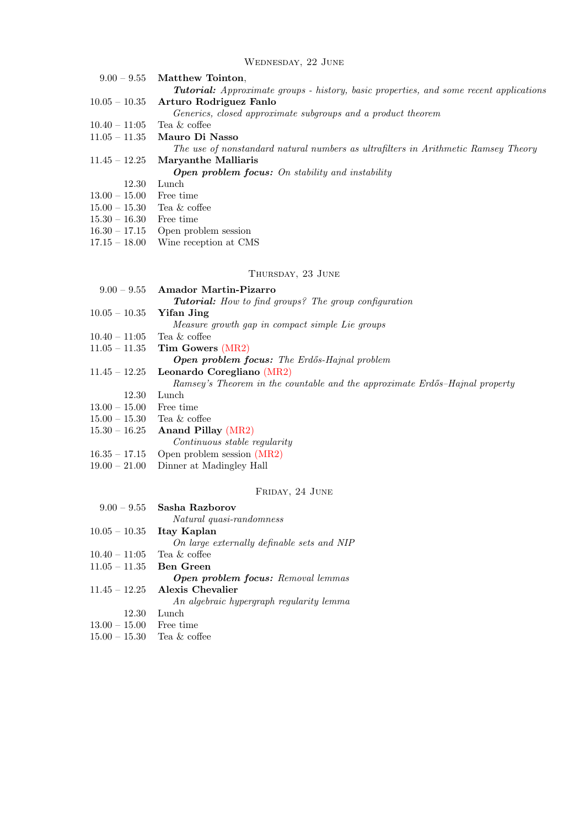# Wednesday, 22 June

|                              | $9.00 - 9.55$ Matthew Tointon.                                                                |
|------------------------------|-----------------------------------------------------------------------------------------------|
|                              | <b>Tutorial:</b> Approximate groups - history, basic properties, and some recent applications |
|                              | $10.05 - 10.35$ Arturo Rodriguez Fanlo                                                        |
|                              | Generics, closed approximate subgroups and a product theorem                                  |
| $10.40 - 11:05$              | Tea & coffee                                                                                  |
|                              | $11.05 - 11.35$ Mauro Di Nasso                                                                |
|                              | The use of nonstandard natural numbers as ultrafilters in Arithmetic Ramsey Theory            |
| $11.45 - 12.25$              | Maryanthe Malliaris                                                                           |
|                              | <b>Open problem focus:</b> On stability and instability                                       |
| 12.30                        | Lunch                                                                                         |
| $13.00 - 15.00$              | Free time                                                                                     |
| $15.00 - 15.30$ Tea & coffee |                                                                                               |
| $15.30 - 16.30$              | Free time                                                                                     |
| $16.30 - 17.15$              | Open problem session                                                                          |
| $17.15 - 18.00$              | Wine reception at CMS                                                                         |
|                              |                                                                                               |
|                              |                                                                                               |

# Thursday, 23 June

|                              | $9.00 - 9.55$ Amador Martin-Pizarro                                         |  |
|------------------------------|-----------------------------------------------------------------------------|--|
|                              | <b>Tutorial:</b> How to find groups? The group configuration                |  |
| $10.05 - 10.35$              | Yifan Jing                                                                  |  |
|                              | Measure growth gap in compact simple Lie groups                             |  |
| $10.40 - 11.05$ Tea & coffee |                                                                             |  |
|                              | 11.05 – 11.35 Tim Gowers $(MR2)$                                            |  |
|                              | <b>Open problem focus:</b> The Erdős-Hajnal problem                         |  |
| $11.45 - 12.25$              | Leonardo Coregliano (MR2)                                                   |  |
|                              | Ramsey's Theorem in the countable and the approximate Erdős-Hajnal property |  |
| 12.30                        | Lunch                                                                       |  |
| $13.00 - 15.00$ Free time    |                                                                             |  |
| $15.00 - 15.30$ Tea & coffee |                                                                             |  |
| $15.30 - 16.25$              | <b>Anand Pillay (MR2)</b>                                                   |  |
|                              | Continuous stable regularity                                                |  |
|                              | $16.35 - 17.15$ Open problem session (MR2)                                  |  |
| $19.00 - 21.00$              | Dinner at Madingley Hall                                                    |  |
|                              |                                                                             |  |
| FRIDAY, 24 JUNE              |                                                                             |  |
|                              | $9.00 - 9.55$ Sasha Razborov                                                |  |

|                              | рама палнни                                |
|------------------------------|--------------------------------------------|
|                              | Natural quasi-randomness                   |
|                              | $10.05 - 10.35$ Itay Kaplan                |
|                              | On large externally definable sets and NIP |
| $10.40 - 11:05$ Tea & coffee |                                            |
| $11.05 - 11.35$ Ben Green    |                                            |
|                              | <b>Open problem focus:</b> Removal lemmas  |
|                              | $11.45 - 12.25$ Alexis Chevalier           |
|                              | An algebraic hypergraph regularity lemma   |
| 12.30                        | Lunch                                      |
| $13.00 - 15.00$ Free time    |                                            |
| $15.00 - 15.30$              | Tea & coffee                               |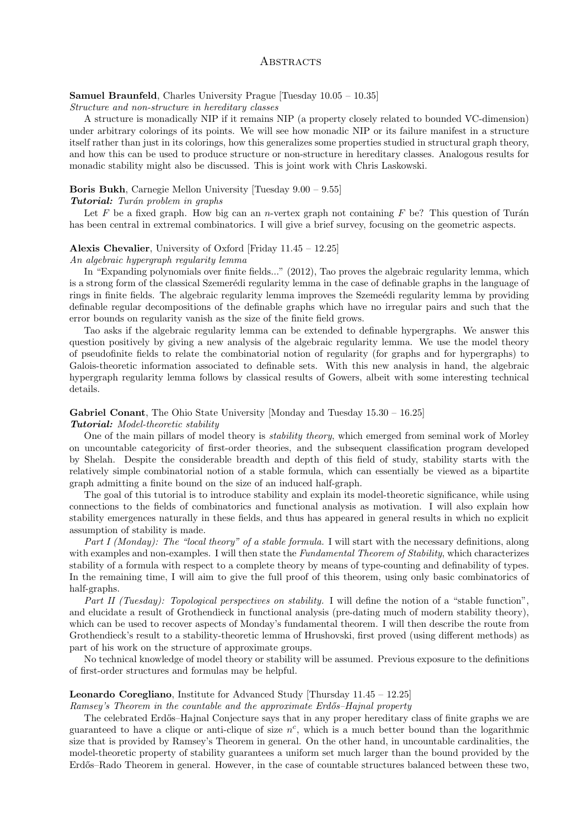# **ABSTRACTS**

# Samuel Braunfeld, Charles University Prague [Tuesday 10.05 – 10.35]

Structure and non-structure in hereditary classes

A structure is monadically NIP if it remains NIP (a property closely related to bounded VC-dimension) under arbitrary colorings of its points. We will see how monadic NIP or its failure manifest in a structure itself rather than just in its colorings, how this generalizes some properties studied in structural graph theory, and how this can be used to produce structure or non-structure in hereditary classes. Analogous results for monadic stability might also be discussed. This is joint work with Chris Laskowski.

# Boris Bukh, Carnegie Mellon University [Tuesday 9.00 – 9.55]

# **Tutorial:** Turán problem in graphs

Let F be a fixed graph. How big can an n-vertex graph not containing F be? This question of Turán has been central in extremal combinatorics. I will give a brief survey, focusing on the geometric aspects.

# Alexis Chevalier, University of Oxford [Friday 11.45 – 12.25]

#### An algebraic hypergraph regularity lemma

In "Expanding polynomials over finite fields..." (2012), Tao proves the algebraic regularity lemma, which is a strong form of the classical Szemerédi regularity lemma in the case of definable graphs in the language of rings in finite fields. The algebraic regularity lemma improves the Szemeédi regularity lemma by providing definable regular decompositions of the definable graphs which have no irregular pairs and such that the error bounds on regularity vanish as the size of the finite field grows.

Tao asks if the algebraic regularity lemma can be extended to definable hypergraphs. We answer this question positively by giving a new analysis of the algebraic regularity lemma. We use the model theory of pseudofinite fields to relate the combinatorial notion of regularity (for graphs and for hypergraphs) to Galois-theoretic information associated to definable sets. With this new analysis in hand, the algebraic hypergraph regularity lemma follows by classical results of Gowers, albeit with some interesting technical details.

# Gabriel Conant, The Ohio State University [Monday and Tuesday  $15.30 - 16.25$ ] Tutorial: Model-theoretic stability

One of the main pillars of model theory is *stability theory*, which emerged from seminal work of Morley on uncountable categoricity of first-order theories, and the subsequent classification program developed by Shelah. Despite the considerable breadth and depth of this field of study, stability starts with the relatively simple combinatorial notion of a stable formula, which can essentially be viewed as a bipartite graph admitting a finite bound on the size of an induced half-graph.

The goal of this tutorial is to introduce stability and explain its model-theoretic significance, while using connections to the fields of combinatorics and functional analysis as motivation. I will also explain how stability emergences naturally in these fields, and thus has appeared in general results in which no explicit assumption of stability is made.

Part I (Monday): The "local theory" of a stable formula. I will start with the necessary definitions, along with examples and non-examples. I will then state the Fundamental Theorem of Stability, which characterizes stability of a formula with respect to a complete theory by means of type-counting and definability of types. In the remaining time, I will aim to give the full proof of this theorem, using only basic combinatorics of half-graphs.

Part II (Tuesday): Topological perspectives on stability. I will define the notion of a "stable function". and elucidate a result of Grothendieck in functional analysis (pre-dating much of modern stability theory), which can be used to recover aspects of Monday's fundamental theorem. I will then describe the route from Grothendieck's result to a stability-theoretic lemma of Hrushovski, first proved (using different methods) as part of his work on the structure of approximate groups.

No technical knowledge of model theory or stability will be assumed. Previous exposure to the definitions of first-order structures and formulas may be helpful.

# Leonardo Coregliano, Institute for Advanced Study [Thursday 11.45 – 12.25]

# $Ramsey's Theorem in the countable and the approximate Erdős–Hajnal property$

The celebrated Erdős–Hajnal Conjecture says that in any proper hereditary class of finite graphs we are guaranteed to have a clique or anti-clique of size  $n^c$ , which is a much better bound than the logarithmic size that is provided by Ramsey's Theorem in general. On the other hand, in uncountable cardinalities, the model-theoretic property of stability guarantees a uniform set much larger than the bound provided by the Erdős–Rado Theorem in general. However, in the case of countable structures balanced between these two,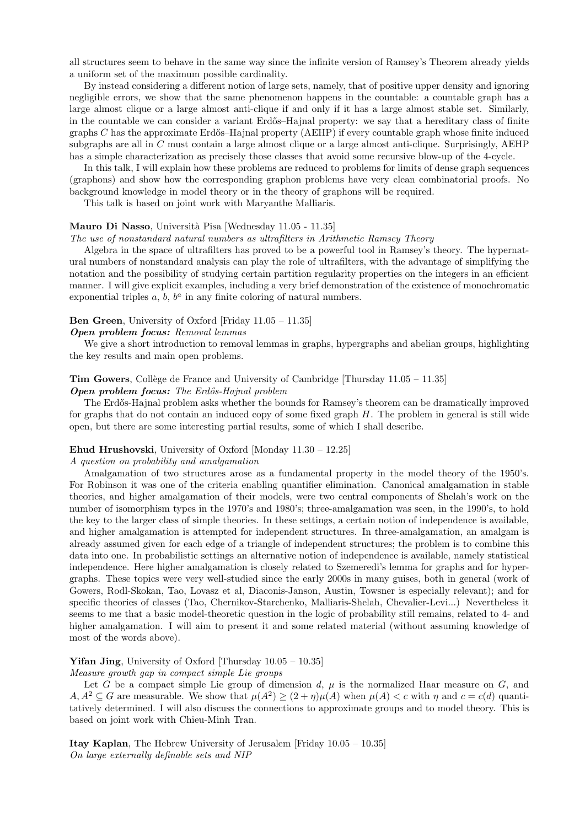all structures seem to behave in the same way since the infinite version of Ramsey's Theorem already yields a uniform set of the maximum possible cardinality.

By instead considering a different notion of large sets, namely, that of positive upper density and ignoring negligible errors, we show that the same phenomenon happens in the countable: a countable graph has a large almost clique or a large almost anti-clique if and only if it has a large almost stable set. Similarly, in the countable we can consider a variant Erdős–Hajnal property: we say that a hereditary class of finite graphs  $C$  has the approximate Erdős–Hajnal property (AEHP) if every countable graph whose finite induced subgraphs are all in C must contain a large almost clique or a large almost anti-clique. Surprisingly, AEHP has a simple characterization as precisely those classes that avoid some recursive blow-up of the 4-cycle.

In this talk, I will explain how these problems are reduced to problems for limits of dense graph sequences (graphons) and show how the corresponding graphon problems have very clean combinatorial proofs. No background knowledge in model theory or in the theory of graphons will be required.

This talk is based on joint work with Maryanthe Malliaris.

# Mauro Di Nasso, Università Pisa [Wednesday 11.05 - 11.35]

#### The use of nonstandard natural numbers as ultrafilters in Arithmetic Ramsey Theory

Algebra in the space of ultrafilters has proved to be a powerful tool in Ramsey's theory. The hypernatural numbers of nonstandard analysis can play the role of ultrafilters, with the advantage of simplifying the notation and the possibility of studying certain partition regularity properties on the integers in an efficient manner. I will give explicit examples, including a very brief demonstration of the existence of monochromatic exponential triples  $a, b, b^a$  in any finite coloring of natural numbers.

# Ben Green, University of Oxford [Friday 11.05 – 11.35]

#### Open problem focus: Removal lemmas

We give a short introduction to removal lemmas in graphs, hypergraphs and abelian groups, highlighting the key results and main open problems.

# **Tim Gowers,** Collège de France and University of Cambridge [Thursday  $11.05 - 11.35$ ]

### **Open problem focus:** The Erdős-Hajnal problem

The Erdős-Hajnal problem asks whether the bounds for Ramsey's theorem can be dramatically improved for graphs that do not contain an induced copy of some fixed graph  $H$ . The problem in general is still wide open, but there are some interesting partial results, some of which I shall describe.

# Ehud Hrushovski, University of Oxford [Monday 11.30 – 12.25]

#### A question on probability and amalgamation

Amalgamation of two structures arose as a fundamental property in the model theory of the 1950's. For Robinson it was one of the criteria enabling quantifier elimination. Canonical amalgamation in stable theories, and higher amalgamation of their models, were two central components of Shelah's work on the number of isomorphism types in the 1970's and 1980's; three-amalgamation was seen, in the 1990's, to hold the key to the larger class of simple theories. In these settings, a certain notion of independence is available, and higher amalgamation is attempted for independent structures. In three-amalgamation, an amalgam is already assumed given for each edge of a triangle of independent structures; the problem is to combine this data into one. In probabilistic settings an alternative notion of independence is available, namely statistical independence. Here higher amalgamation is closely related to Szemeredi's lemma for graphs and for hypergraphs. These topics were very well-studied since the early 2000s in many guises, both in general (work of Gowers, Rodl-Skokan, Tao, Lovasz et al, Diaconis-Janson, Austin, Towsner is especially relevant); and for specific theories of classes (Tao, Chernikov-Starchenko, Malliaris-Shelah, Chevalier-Levi...) Nevertheless it seems to me that a basic model-theoretic question in the logic of probability still remains, related to 4- and higher amalgamation. I will aim to present it and some related material (without assuming knowledge of most of the words above).

**Yifan Jing**, University of Oxford [Thursday  $10.05 - 10.35$ ]

Measure growth gap in compact simple Lie groups

Let G be a compact simple Lie group of dimension  $d, \mu$  is the normalized Haar measure on G, and  $A, A^2 \subseteq G$  are measurable. We show that  $\mu(A^2) \ge (2 + \eta)\mu(A)$  when  $\mu(A) < c$  with  $\eta$  and  $c = c(d)$  quantitatively determined. I will also discuss the connections to approximate groups and to model theory. This is based on joint work with Chieu-Minh Tran.

Itay Kaplan, The Hebrew University of Jerusalem [Friday 10.05 – 10.35] On large externally definable sets and NIP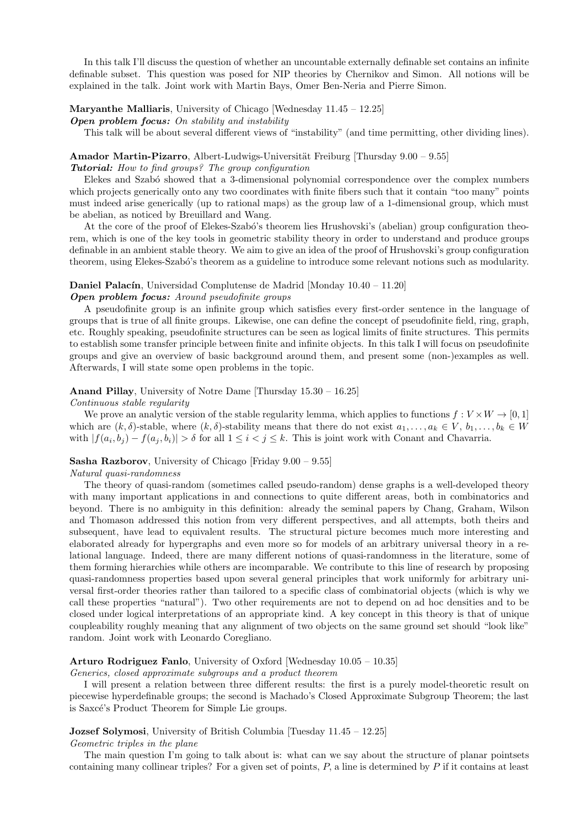In this talk I'll discuss the question of whether an uncountable externally definable set contains an infinite definable subset. This question was posed for NIP theories by Chernikov and Simon. All notions will be explained in the talk. Joint work with Martin Bays, Omer Ben-Neria and Pierre Simon.

# Maryanthe Malliaris, University of Chicago [Wednesday 11.45 – 12.25]

**Open problem focus:** On stability and instability

This talk will be about several different views of "instability" (and time permitting, other dividing lines).

# Amador Martin-Pizarro, Albert-Ludwigs-Universität Freiburg [Thursday  $9.00 - 9.55$ ] Tutorial: How to find groups? The group configuration

Elekes and Szab´o showed that a 3-dimensional polynomial correspondence over the complex numbers which projects generically onto any two coordinates with finite fibers such that it contain "too many" points must indeed arise generically (up to rational maps) as the group law of a 1-dimensional group, which must be abelian, as noticed by Breuillard and Wang.

At the core of the proof of Elekes-Szabó's theorem lies Hrushovski's (abelian) group configuration theorem, which is one of the key tools in geometric stability theory in order to understand and produce groups definable in an ambient stable theory. We aim to give an idea of the proof of Hrushovski's group configuration theorem, using Elekes-Szabó's theorem as a guideline to introduce some relevant notions such as modularity.

# **Daniel Palacín**, Universidad Complutense de Madrid [Monday  $10.40 - 11.20$ ]

# Open problem focus: Around pseudofinite groups

A pseudofinite group is an infinite group which satisfies every first-order sentence in the language of groups that is true of all finite groups. Likewise, one can define the concept of pseudofinite field, ring, graph, etc. Roughly speaking, pseudofinite structures can be seen as logical limits of finite structures. This permits to establish some transfer principle between finite and infinite objects. In this talk I will focus on pseudofinite groups and give an overview of basic background around them, and present some (non-)examples as well. Afterwards, I will state some open problems in the topic.

# Anand Pillay, University of Notre Dame [Thursday 15.30 – 16.25]

Continuous stable regularity

We prove an analytic version of the stable regularity lemma, which applies to functions  $f: V \times W \rightarrow [0, 1]$ which are  $(k, \delta)$ -stable, where  $(k, \delta)$ -stability means that there do not exist  $a_1, \ldots, a_k \in V$ ,  $b_1, \ldots, b_k \in W$ with  $|f(a_i, b_j) - f(a_j, b_i)| > \delta$  for all  $1 \leq i < j \leq k$ . This is joint work with Conant and Chavarria.

# Sasha Razborov, University of Chicago [Friday 9.00 – 9.55]

#### Natural quasi-randomness

The theory of quasi-random (sometimes called pseudo-random) dense graphs is a well-developed theory with many important applications in and connections to quite different areas, both in combinatorics and beyond. There is no ambiguity in this definition: already the seminal papers by Chang, Graham, Wilson and Thomason addressed this notion from very different perspectives, and all attempts, both theirs and subsequent, have lead to equivalent results. The structural picture becomes much more interesting and elaborated already for hypergraphs and even more so for models of an arbitrary universal theory in a relational language. Indeed, there are many different notions of quasi-randomness in the literature, some of them forming hierarchies while others are incomparable. We contribute to this line of research by proposing quasi-randomness properties based upon several general principles that work uniformly for arbitrary universal first-order theories rather than tailored to a specific class of combinatorial objects (which is why we call these properties "natural"). Two other requirements are not to depend on ad hoc densities and to be closed under logical interpretations of an appropriate kind. A key concept in this theory is that of unique coupleability roughly meaning that any alignment of two objects on the same ground set should "look like" random. Joint work with Leonardo Coregliano.

# Arturo Rodriguez Fanlo, University of Oxford [Wednesday 10.05 – 10.35]

Generics, closed approximate subgroups and a product theorem

I will present a relation between three different results: the first is a purely model-theoretic result on piecewise hyperdefinable groups; the second is Machado's Closed Approximate Subgroup Theorem; the last is Saxcé's Product Theorem for Simple Lie groups.

Jozsef Solymosi, University of British Columbia [Tuesday 11.45 – 12.25]

Geometric triples in the plane

The main question I'm going to talk about is: what can we say about the structure of planar pointsets containing many collinear triples? For a given set of points,  $P$ , a line is determined by  $P$  if it contains at least